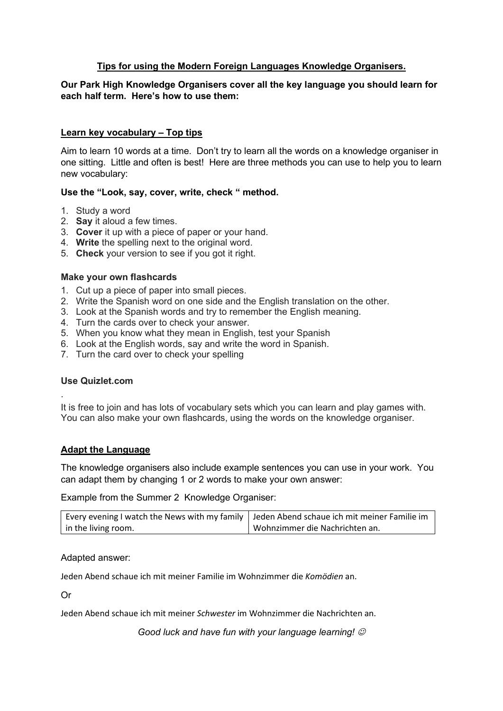## **Tips for using the Modern Foreign Languages Knowledge Organisers.**

## **Our Park High Knowledge Organisers cover all the key language you should learn for each half term. Here's how to use them:**

## **Learn key vocabulary – Top tips**

Aim to learn 10 words at a time. Don't try to learn all the words on a knowledge organiser in one sitting. Little and often is best! Here are three methods you can use to help you to learn new vocabulary:

### **Use the "Look, say, cover, write, check " method.**

- 1. Study a word
- 2. **Say** it aloud a few times.
- 3. **Cover** it up with a piece of paper or your hand.
- 4. **Write** the spelling next to the original word.
- 5. **Check** your version to see if you got it right.

#### **Make your own flashcards**

- 1. Cut up a piece of paper into small pieces.
- 2. Write the Spanish word on one side and the English translation on the other.
- 3. Look at the Spanish words and try to remember the English meaning.
- 4. Turn the cards over to check your answer.
- 5. When you know what they mean in English, test your Spanish
- 6. Look at the English words, say and write the word in Spanish.
- 7. Turn the card over to check your spelling

#### **Use Quizlet.com**

.

It is free to join and has lots of vocabulary sets which you can learn and play games with. You can also make your own flashcards, using the words on the knowledge organiser.

### **Adapt the Language**

The knowledge organisers also include example sentences you can use in your work. You can adapt them by changing 1 or 2 words to make your own answer:

Example from the Summer 2 Knowledge Organiser:

| Every evening I watch the News with my family   Jeden Abend schaue ich mit meiner Familie im |                                |
|----------------------------------------------------------------------------------------------|--------------------------------|
| in the living room.                                                                          | Wohnzimmer die Nachrichten an. |

#### Adapted answer:

Jeden Abend schaue ich mit meiner Familie im Wohnzimmer die *Komödien* an.

Or

Jeden Abend schaue ich mit meiner *Schwester* im Wohnzimmer die Nachrichten an.

*Good luck and have fun with your language learning!*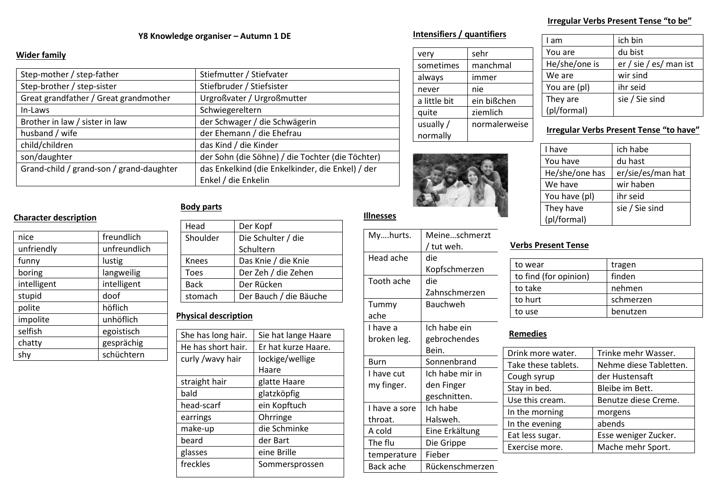# **Y8 Knowledge organiser – Autumn 1 DE Intensifiers / quantifiers**

#### **Wider family**

**Character description**

| Step-mother / step-father                | Stiefmutter / Stiefvater                         |
|------------------------------------------|--------------------------------------------------|
| Step-brother / step-sister               | Stiefbruder / Stiefsister                        |
| Great grandfather / Great grandmother    | Urgroßvater / Urgroßmutter                       |
| In-Laws                                  | Schwiegereltern                                  |
| Brother in law / sister in law           | der Schwager / die Schwägerin                    |
| husband / wife                           | der Ehemann / die Ehefrau                        |
| child/children                           | das Kind / die Kinder                            |
| son/daughter                             | der Sohn (die Söhne) / die Tochter (die Töchter) |
| Grand-child / grand-son / grand-daughter | das Enkelkind (die Enkelkinder, die Enkel) / der |
|                                          | Enkel / die Enkelin                              |

#### **Body parts**

| nice        | freundlich   |
|-------------|--------------|
| unfriendly  | unfreundlich |
| funny       | lustig       |
| boring      | langweilig   |
| intelligent | intelligent  |
| stupid      | doof         |
| polite      | höflich      |
| impolite    | unhöflich    |
| selfish     | egoistisch   |
| chatty      | gesprächig   |
| shy         | schüchtern   |

| Head         | Der Kopf               |
|--------------|------------------------|
| Shoulder     | Die Schulter / die     |
|              | Schultern              |
| <b>Knees</b> | Das Knie / die Knie    |
| Toes         | Der Zeh / die Zehen    |
| <b>Back</b>  | Der Rücken             |
| stomach      | Der Bauch / die Bäuche |
|              |                        |

## **Physical description**

| She has long hair. | Sie hat lange Haare |
|--------------------|---------------------|
| He has short hair. | Er hat kurze Haare. |
| curly /wavy hair   | lockige/wellige     |
|                    | Haare               |
| straight hair      | glatte Haare        |
| bald               | glatzköpfig         |
| head-scarf         | ein Kopftuch        |
| earrings           | Ohrringe            |
| make-up            | die Schminke        |
| beard              | der Bart            |
| glasses            | eine Brille         |
| freckles           | Sommersprossen      |
|                    |                     |

| very         | sehr          |
|--------------|---------------|
| sometimes    | manchmal      |
| always       | immer         |
| never        | nie           |
| a little bit | ein bißchen   |
| quite        | ziemlich      |
| usually $/$  | normalerweise |
| normally     |               |



#### **Illnesses**

| Myhurts.      | Meine…schmerzt  |
|---------------|-----------------|
|               | / tut weh.      |
| Head ache     | die             |
|               | Kopfschmerzen   |
| Tooth ache    | die             |
|               | Zahnschmerzen   |
| Tummy         | Bauchweh        |
| ache          |                 |
| I have a      | Ich habe ein    |
| broken leg.   | gebrochendes    |
|               | Bein.           |
| Burn          | Sonnenbrand     |
| I have cut    | Ich habe mir in |
| my finger.    | den Finger      |
|               | geschnitten.    |
| I have a sore | Ich habe        |
| throat.       | Halsweh.        |
| A cold        | Eine Erkältung  |
| The flu       | Die Grippe      |
| temperature   | Fieber          |
| Back ache     | Rückenschmerzen |

#### **Irregular Verbs Present Tense "to be"**

| l am          | ich bin                |
|---------------|------------------------|
| You are       | du bist                |
| He/she/one is | er / sie / es/ man ist |
| We are        | wir sind               |
| You are (pl)  | ihr seid               |
| They are      | sie / Sie sind         |
| (pl/formal)   |                        |

### **Irregular Verbs Present Tense "to have"**

| I have         | ich habe          |
|----------------|-------------------|
| You have       | du hast           |
| He/she/one has | er/sie/es/man hat |
| We have        | wir haben         |
| You have (pl)  | ihr seid          |
| They have      | sie / Sie sind    |
| (pl/formal)    |                   |

## **Verbs Present Tense**

| to wear               | tragen    |
|-----------------------|-----------|
| to find (for opinion) | finden    |
| to take               | nehmen    |
| to hurt               | schmerzen |
| to use                | benutzen  |

#### **Remedies**

| Drink more water.   | Trinke mehr Wasser.    |
|---------------------|------------------------|
| Take these tablets. | Nehme diese Tabletten. |
| Cough syrup         | der Hustensaft         |
| Stay in bed.        | Bleibe im Bett.        |
| Use this cream.     | Benutze diese Creme.   |
| In the morning      | morgens                |
| In the evening      | abends                 |
| Eat less sugar.     | Esse weniger Zucker.   |
| Exercise more.      | Mache mehr Sport.      |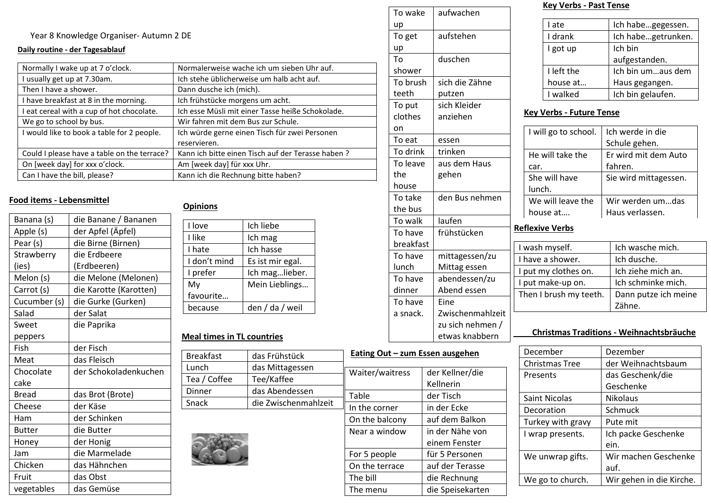## Year 8 Knowledge Organiser- Autumn 2 DE

#### **Daily routine - der Tagesablauf**

| Normally I wake up at 7 o'clock.            | Normalerweise wache ich um sieben Uhr auf.        |
|---------------------------------------------|---------------------------------------------------|
| I usually get up at 7.30am.                 | Ich stehe üblicherweise um halb acht auf.         |
| Then I have a shower.                       | Dann dusche ich (mich).                           |
| I have breakfast at 8 in the morning.       | Ich frühstücke morgens um acht.                   |
| I eat cereal with a cup of hot chocolate.   | Ich esse Müsli mit einer Tasse heiße Schokolade.  |
| We go to school by bus.                     | Wir fahren mit dem Bus zur Schule.                |
| I would like to book a table for 2 people.  | Ich würde gerne einen Tisch für zwei Personen     |
|                                             | reservieren.                                      |
| Could I please have a table on the terrace? | Kann ich bitte einen Tisch auf der Terasse haben? |
| On [week day] for xxx o'clock.              | Am [week day] für xxx Uhr.                        |
| Can I have the bill, please?                | Kann ich die Rechnung bitte haben?                |

## **Food items - Lebensmittel**

| Banana (s)    | die Banane / Bananen   |
|---------------|------------------------|
| Apple (s)     | der Apfel (Äpfel)      |
| Pear (s)      | die Birne (Birnen)     |
| Strawberry    | die Erdbeere           |
| (ies)         | (Erdbeeren)            |
| Melon (s)     | die Melone (Melonen)   |
| Carrot (s)    | die Karotte (Karotten) |
| Cucumber (s)  | die Gurke (Gurken)     |
| Salad         | der Salat              |
| Sweet         | die Paprika            |
| peppers       |                        |
| Fish          | der Fisch              |
| Meat          | das Fleisch            |
| Chocolate     | der Schokoladenkuchen  |
| cake          |                        |
| <b>Bread</b>  | das Brot (Brote)       |
| Cheese        | der Käse               |
| Ham           | der Schinken           |
| <b>Butter</b> | die Butter             |
| Honey         | der Honig              |
| Jam           | die Marmelade          |
| Chicken       | das Hähnchen           |
| Fruit         | das Obst               |
| vegetables    | das Gemüse             |

| I love       | Ich liebe        |
|--------------|------------------|
| I like       | Ich mag          |
| I hate       | Ich hasse        |
| I don't mind | Es ist mir egal. |
| I prefer     | Ich maglieber.   |
| My           | Mein Lieblings   |
| favourite    |                  |
| because      | den / da / weil  |

## **Meal times in TL countries**

| <b>Breakfast</b> | das Frühstück        | Eating Out - zum Essen ausgehen |                 |
|------------------|----------------------|---------------------------------|-----------------|
| Lunch            | das Mittagessen      | Waiter/waitress                 | der Kellner/die |
| Tea / Coffee     | Tee/Kaffee           |                                 | Kellnerin       |
| Dinner           | das Abendessen       | Table                           | der Tisch       |
| Snack            | die Zwischenmahlzeit | In the corner                   | in der Ecke     |
|                  |                      |                                 |                 |
|                  |                      | On the balcony                  | auf dem Balkon  |



| f                                    |  |  |  |
|--------------------------------------|--|--|--|
|                                      |  |  |  |
|                                      |  |  |  |
|                                      |  |  |  |
|                                      |  |  |  |
|                                      |  |  |  |
|                                      |  |  |  |
|                                      |  |  |  |
|                                      |  |  |  |
|                                      |  |  |  |
|                                      |  |  |  |
| Eating Out - zum Essen ausgehen      |  |  |  |
|                                      |  |  |  |
|                                      |  |  |  |
| Zwischenmahlzeit<br>zu sich nehmen / |  |  |  |

einem Fenster

Near a window  $\parallel$  in der Nähe von

For 5 people | für 5 Personen On the terrace  $\vert$  auf der Terasse The bill and die Rechnung The menu and die Speisekarten

#### **Key Verbs - Past Tense**

| I ate      | Ich habegegessen.  |
|------------|--------------------|
| I drank    | Ich habegetrunken. |
| I got up   | Ich bin            |
|            | aufgestanden.      |
| I left the | Ich bin umaus dem  |
| house at   | Haus gegangen.     |
| I walked   | Ich bin gelaufen.  |

#### **Key Verbs - Future Tense**

| h würde gerne einen Tisch für zwei Personen      | on       |                | I will go to school. | Ich werde in die      |
|--------------------------------------------------|----------|----------------|----------------------|-----------------------|
| eservieren.                                      | To eat   | essen          |                      | Schule gehen.         |
| ann ich bitte einen Tisch auf der Terasse haben? | To drink | trinken        | He will take the     | Er wird mit dem Auto  |
| m [week day] für xxx Uhr.                        | To leave | aus dem Haus   | car.                 | fahren.               |
| ann ich die Rechnung bitte haben?                | the      | gehen          | She will have        | Sie wird mittagessen. |
|                                                  | house    |                | lunch.               |                       |
|                                                  | To take  | den Bus nehmen | We will leave the    | Wir werden umdas      |
| <b>Opinions</b>                                  | the bus  |                | house at             | Haus verlassen.       |
| .<br>. .                                         | To walk  | laufen         |                      |                       |

## **Reflexive Verbs**

| I wash myself.         | Ich wasche mich.     |
|------------------------|----------------------|
| I have a shower.       | Ich dusche.          |
| I put my clothes on.   | Ich ziehe mich an.   |
| I put make-up on.      | Ich schminke mich.   |
| Then I brush my teeth. | Dann putze ich meine |
|                        | Zähne.               |

#### **Christmas Traditions - Weihnachtsbräuche**

| December          | Dezember                 |
|-------------------|--------------------------|
| Christmas Tree    | der Weihnachtsbaum       |
| Presents          | das Geschenk/die         |
|                   | Geschenke                |
| Saint Nicolas     | <b>Nikolaus</b>          |
| Decoration        | Schmuck                  |
| Turkey with gravy | Pute mit                 |
| I wrap presents.  | Ich packe Geschenke      |
|                   | ein.                     |
| We unwrap gifts.  | Wir machen Geschenke     |
|                   | auf.                     |
| We go to church.  | Wir gehen in die Kirche. |
|                   |                          |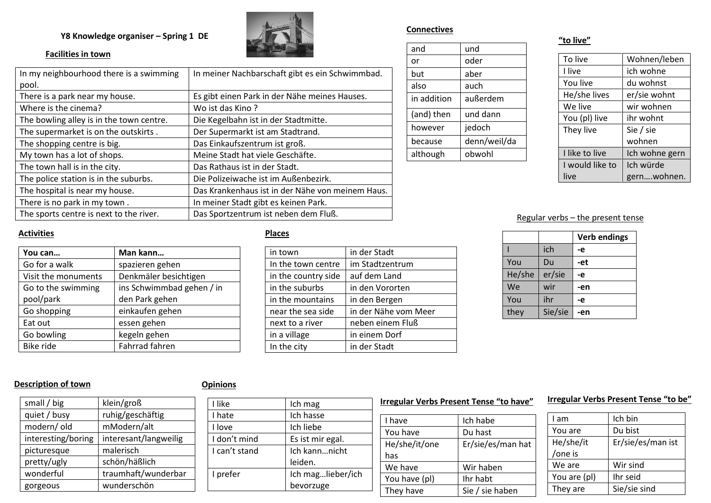## **Y8 Knowledge organiser – Spring 1 DE**



## **Facilities in town**

| In my neighbourhood there is a swimming  | In meiner Nachbarschaft gibt es ein Schwimmbad.  |
|------------------------------------------|--------------------------------------------------|
| pool.                                    |                                                  |
| There is a park near my house.           | Es gibt einen Park in der Nähe meines Hauses.    |
| Where is the cinema?                     | Wo ist das Kino?                                 |
| The bowling alley is in the town centre. | Die Kegelbahn ist in der Stadtmitte.             |
| The supermarket is on the outskirts.     | Der Supermarkt ist am Stadtrand.                 |
| The shopping centre is big.              | Das Einkaufszentrum ist groß.                    |
| My town has a lot of shops.              | Meine Stadt hat viele Geschäfte.                 |
| The town hall is in the city.            | Das Rathaus ist in der Stadt.                    |
| The police station is in the suburbs.    | Die Polizeiwache ist im Außenbezirk.             |
| The hospital is near my house.           | Das Krankenhaus ist in der Nähe von meinem Haus. |
| There is no park in my town.             | In meiner Stadt gibt es keinen Park.             |
| The sports centre is next to the river.  | Das Sportzentrum ist neben dem Fluß.             |

## **Connectives**

| and         | und          |
|-------------|--------------|
| or          | oder         |
| but         | aber         |
| also        | auch         |
| in addition | außerdem     |
| (and) then  | und dann     |
| however     | jedoch       |
| because     | denn/weil/da |
| although    | obwohl       |
|             |              |

## **"to live"**

| To live         | Wohnen/leben   |
|-----------------|----------------|
| I live          | ich wohne      |
| You live        | du wohnst      |
| He/she lives    | er/sie wohnt   |
| We live         | wir wohnen     |
| You (pl) live   | ihr wohnt      |
| They live       | Sie / sie      |
|                 | wohnen         |
| I like to live  | Ich wohne gern |
| I would like to | Ich würde      |
| live            | gernwohnen.    |

#### Regular verbs – the present tense

|        |         | <b>Verb endings</b> |
|--------|---------|---------------------|
|        | ich     | -е                  |
| You    | Du      | -et                 |
| He/she | er/sie  | -е                  |
| We     | wir     | -en                 |
| You    | ihr     | -е                  |
| they   | Sie/sie | -en                 |

#### **Activities**

| You can             | Man kann                  |
|---------------------|---------------------------|
| Go for a walk       | spazieren gehen           |
| Visit the monuments | Denkmäler besichtigen     |
| Go to the swimming  | ins Schwimmbad gehen / in |
| pool/park           | den Park gehen            |
| Go shopping         | einkaufen gehen           |
| Eat out             | essen gehen               |
| Go bowling          | kegeln gehen              |
| Bike ride           | Fahrrad fahren            |

## **Places**

| in town             | in der Stadt         |  |
|---------------------|----------------------|--|
| In the town centre  | im Stadtzentrum      |  |
| in the country side | auf dem Land         |  |
| in the suburbs      | in den Vororten      |  |
| in the mountains    | in den Bergen        |  |
| near the sea side   | in der Nähe vom Meer |  |
| next to a river     | neben einem Fluß     |  |
| in a village        | in einem Dorf        |  |
| In the city         | in der Stadt         |  |
|                     |                      |  |

## **Description of town**

## **Opinions**

| small / big        | klein/groß            |
|--------------------|-----------------------|
| quiet / busy       | ruhig/geschäftig      |
| modern/old         | mModern/alt           |
| interesting/boring | interesant/langweilig |
| picturesque        | malerisch             |
| pretty/ugly        | schön/häßlich         |
| wonderful          | traumhaft/wunderbar   |
| gorgeous           | wunderschön           |

| I like        | Ich mag           |
|---------------|-------------------|
| I hate        | Ich hasse         |
| I love        | Ich liebe         |
| I don't mind  | Es ist mir egal.  |
| I can't stand | Ich kannnicht     |
|               | leiden.           |
| I prefer      | Ich maglieber/ich |
|               | bevorzuge         |
|               |                   |

#### **Irregular Verbs Present Tense "to have"**

| I have        | Ich habe          |
|---------------|-------------------|
| You have      | Du hast           |
| He/she/it/one | Er/sie/es/man hat |
| has           |                   |
| We have       | Wir haben         |
| You have (pl) | Ihr habt          |
|               |                   |

#### **Irregular Verbs Present Tense "to be"**

| I am         | Ich bin           |
|--------------|-------------------|
| You are      | Du bist           |
| He/she/it    | Er/sie/es/man ist |
| /one is      |                   |
| We are       | Wir sind          |
| You are (pl) | Ihr seid          |
| They are     | Sie/sie sind      |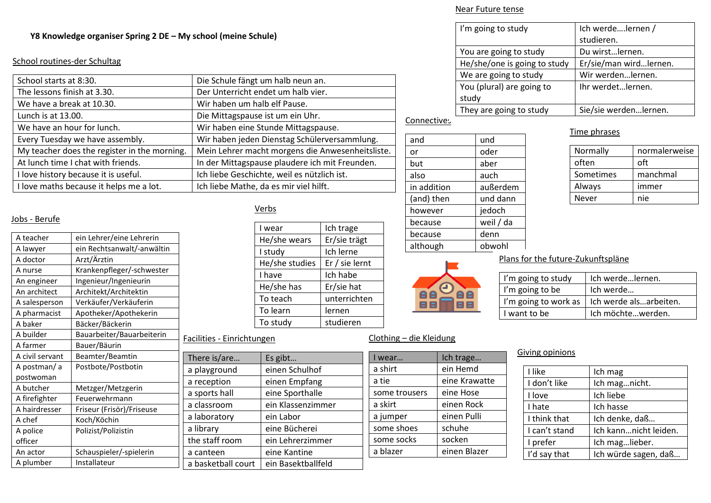#### **Y8 Knowledge organiser Spring 2 DE – My school (meine Schule)**

#### School routines-der Schultag

| Die Schule fängt um halb neun an.                |
|--------------------------------------------------|
| Der Unterricht endet um halb vier.               |
| Wir haben um halb elf Pause.                     |
| Die Mittagspause ist um ein Uhr.                 |
| Wir haben eine Stunde Mittagspause.              |
| Wir haben jeden Dienstag Schülerversammlung.     |
| Mein Lehrer macht morgens die Anwesenheitsliste. |
| In der Mittagspause plaudere ich mit Freunden.   |
| Ich liebe Geschichte, weil es nützlich ist.      |
| Ich liebe Mathe, da es mir viel hilft.           |
|                                                  |

#### Jobs - Berufe

| A teacher       | ein Lehrer/eine Lehrerin   |                         |
|-----------------|----------------------------|-------------------------|
| A lawyer        | ein Rechtsanwalt/-anwältin | I                       |
| A doctor        | Arzt/Ärztin                | ł                       |
| A nurse         | Krankenpfleger/-schwester  |                         |
| An engineer     | Ingenieur/Ingenieurin      | $\overline{1}$          |
| An architect    | Architekt/Architektin      |                         |
| A salesperson   | Verkäufer/Verkäuferin      |                         |
| A pharmacist    | Apotheker/Apothekerin      |                         |
| A baker         | Bäcker/Bäckerin            |                         |
| A builder       | Bauarbeiter/Bauarbeiterin  | Facilities - Einrichtun |
| A farmer        | Bauer/Bäurin               |                         |
| A civil servant | Beamter/Beamtin            | There is/are            |
| A postman/a     | Postbote/Postbotin         | a playground            |
| postwoman       |                            | a reception             |
| A butcher       | Metzger/Metzgerin          | a sports hall           |
| A firefighter   | Feuerwehrmann              |                         |
| A hairdresser   | Friseur (Frisör)/Friseuse  | a classroom             |
| A chef          | Koch/Köchin                | a laboratory            |
| A police        | Polizist/Polizistin        | a library               |
| officer         |                            | the staff room          |
| An actor        | Schauspieler/-spielerin    | a canteen               |
| A plumber       | Installateur               | a basketball court      |
|                 |                            |                         |

## Verbs

| I wear         | Ich trage      |
|----------------|----------------|
| He/she wears   | Er/sie trägt   |
| I study        | Ich lerne      |
| He/she studies | Er / sie lernt |
| I have         | Ich habe       |
| He/she has     | Er/sie hat     |
| To teach       | unterrichten   |
| To learn       | lernen         |
| To study       | studieren      |
|                |                |

#### ngen

|  | There is/are       | Es gibt            |
|--|--------------------|--------------------|
|  | a playground       | einen Schulhof     |
|  | a reception        | einen Empfang      |
|  | a sports hall      | eine Sporthalle    |
|  | a classroom        | ein Klassenzimmer  |
|  | a laboratory       | ein Labor          |
|  | a library          | eine Bücherei      |
|  | the staff room     | ein Lehrerzimmer   |
|  | a canteen          | eine Kantine       |
|  | a basketball court | ein Basektballfeld |

#### Near Future tense

| I'm going to study           | Ich werdelernen /      |
|------------------------------|------------------------|
|                              | studieren.             |
| You are going to study       | Du wirstlernen.        |
| He/she/one is going to study | Er/sie/man wirdlernen. |
| We are going to study        | Wir werdenlernen.      |
| You (plural) are going to    | Ihr werdetlernen.      |
| study                        |                        |
| They are going to study      | Sie/sie werdenlernen.  |

## Connectives

Clothing – die Kleidung

I wear... | Ich trage... a shirt | ein Hemd a tie eine Krawatte some trousers  $\vert$  eine Hose a skirt | einen Rock a jumper | einen Pulli some shoes schuhe some socks socken a blazer einen Blazer

 $\mathbf \Theta$ **BACABLE** 

| and         | und       |
|-------------|-----------|
| or          | oder      |
| but         | aber      |
| also        | auch      |
| in addition | außerdem  |
| (and) then  | und dann  |
| however     | jedoch    |
| because     | weil / da |
| because     | denn      |
| although    | obwohl    |
|             |           |

#### Time phrases

| Normally  | normalerweise |
|-----------|---------------|
| often     | oft           |
| Sometimes | manchmal      |
| Always    | immer         |
| Never     | nie           |

#### Plans for the future-Zukunftspläne

| I'm going to study | Ich werdeIernen.                              |
|--------------------|-----------------------------------------------|
| I'm going to be    | Ich werde                                     |
|                    | I'm going to work as   Ich werde alsarbeiten. |
| I want to be       | Ich möchtewerden.                             |

#### Giving opinions

| I like        | Ich mag               |
|---------------|-----------------------|
| I don't like  | Ich magnicht.         |
| I love        | Ich liebe             |
| I hate        | Ich hasse             |
| I think that  | Ich denke, daß        |
| I can't stand | Ich kannnicht leiden. |
| I prefer      | Ich maglieber.        |
| I'd say that  | Ich würde sagen, daß  |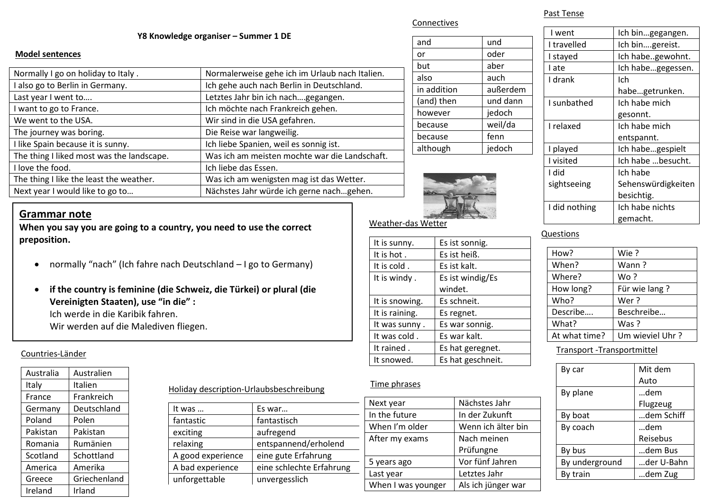#### Connectives

#### **Y8 Knowledge organiser – Summer 1 DE**

#### **Model sentences**

| Normally I go on holiday to Italy.        | Normalerweise gehe ich im Urlaub nach Italien. |
|-------------------------------------------|------------------------------------------------|
| I also go to Berlin in Germany.           | Ich gehe auch nach Berlin in Deutschland.      |
| Last year I went to                       | Letztes Jahr bin ich nachgegangen.             |
| I want to go to France.                   | Ich möchte nach Frankreich gehen.              |
| We went to the USA.                       | Wir sind in die USA gefahren.                  |
| The journey was boring.                   | Die Reise war langweilig.                      |
| I like Spain because it is sunny.         | Ich liebe Spanien, weil es sonnig ist.         |
| The thing I liked most was the landscape. | Was ich am meisten mochte war die Landschaft.  |
| I love the food.                          | Ich liebe das Essen.                           |
| The thing I like the least the weather.   | Was ich am wenigsten mag ist das Wetter.       |
| Next year I would like to go to           | Nächstes Jahr würde ich gerne nachgehen.       |

| and         | und      |
|-------------|----------|
| or          | oder     |
| but         | aber     |
| also        | auch     |
| in addition | außerdem |
| (and) then  | und dann |
| however     | jedoch   |
| because     | weil/da  |
| because     | fenn     |
| although    | jedoch   |



## Past Tense

| I went          | Ich bingegangen.   |
|-----------------|--------------------|
| I travelled     | Ich bingereist.    |
| I stayed        | Ich habegewohnt.   |
| I ate           | Ich habegegessen.  |
| I drank         | Ich                |
|                 | habegetrunken.     |
| I sunbathed     | Ich habe mich      |
|                 | gesonnt.           |
| <b>Lrelaxed</b> | Ich habe mich      |
|                 | entspannt.         |
| I played        | Ich habegespielt   |
| I visited       | Ich habe besucht.  |
| I did           | Ich habe           |
| sightseeing     | Sehenswürdigkeiten |
|                 | besichtig.         |
| I did nothing   | Ich habe nichts    |
|                 | gemacht.           |

#### Questions

| How?          | Wie ?           |
|---------------|-----------------|
| When?         | Wann ?          |
| Where?        | Wo ?            |
| How long?     | Für wie lang?   |
| Who?          | Wer ?           |
| Describe      | Beschreibe      |
| What?         | Was ?           |
| At what time? | Um wieviel Uhr? |

#### Transport -Transportmittel

| By car         | Mit dem    |
|----------------|------------|
|                | Auto       |
| By plane       | …dem       |
|                | Flugzeug   |
| By boat        | dem Schiff |
| By coach       | …dem       |
|                | Reisebus   |
| By bus         | …dem Bus   |
| By underground | der U-Bahn |
| By train       | dem Zug    |

## **Grammar note**

**When you say you are going to a country, you need to use the correct preposition.**

- normally "nach" (Ich fahre nach Deutschland I go to Germany)
- **if the country is feminine (die Schweiz, die Türkei) or plural (die Vereinigten Staaten), use "in die" :** Ich werde in die Karibik fahren. Wir werden auf die Malediven fliegen.

#### Countries-Länder

| Australia | Australien   |
|-----------|--------------|
| Italy     | Italien      |
| France    | Frankreich   |
| Germany   | Deutschland  |
| Poland    | Polen        |
| Pakistan  | Pakistan     |
| Romania   | Rumänien     |
| Scotland  | Schottland   |
| America   | Amerika      |
| Greece    | Griechenland |
| Ireland   | Irland       |

## Holiday description-Urlaubsbeschreibung

| It was            | Es war                   |
|-------------------|--------------------------|
| fantastic         | fantastisch              |
| exciting          | aufregend                |
| relaxing          | entspannend/erholend     |
| A good experience | eine gute Erfahrung      |
| A bad experience  | eine schlechte Erfahrung |
| unforgettable     | unvergesslich            |
|                   |                          |

# Weather-das Wetter

| Es ist sonnig.    |
|-------------------|
| Es ist heiß.      |
| Es ist kalt.      |
| Es ist windig/Es  |
| windet.           |
| Es schneit.       |
| Es regnet.        |
| Es war sonnig.    |
| Es war kalt.      |
| Es hat geregnet.  |
| Es hat geschneit. |
|                   |

#### Time phrases

| Next year          | Nächstes Jahr      |
|--------------------|--------------------|
| In the future      | In der Zukunft     |
| When I'm older     | Wenn ich älter bin |
| After my exams     | Nach meinen        |
|                    | Prüfungne          |
| 5 years ago        | Vor fünf Jahren    |
| Last year          | Letztes Jahr       |
| When I was younger | Als ich jünger war |